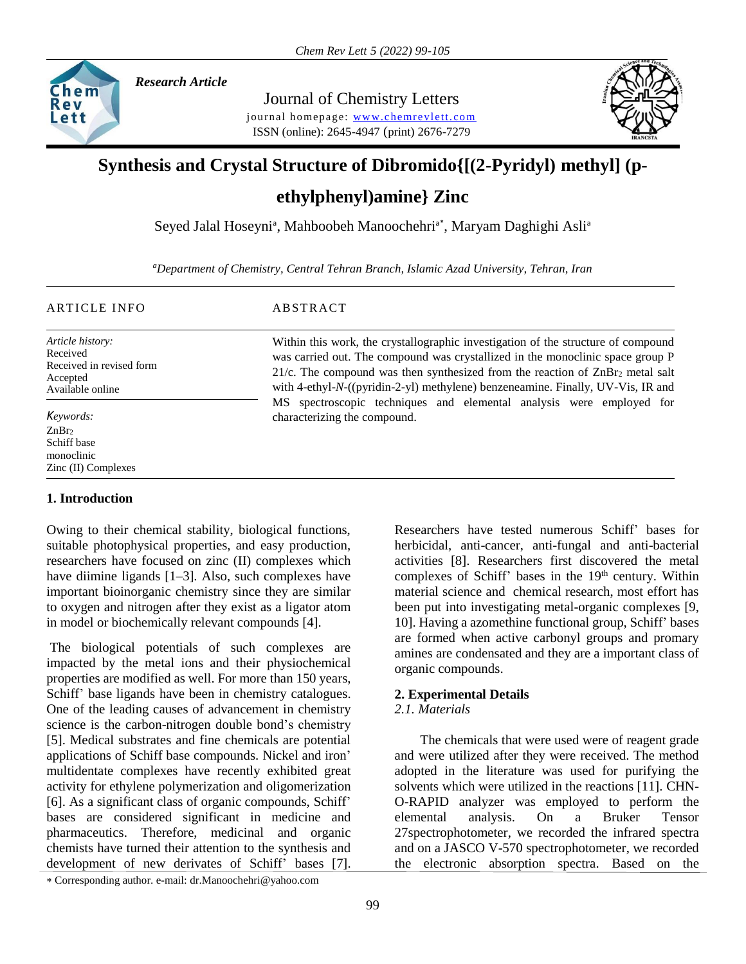

*Research Article* 

Journal of Chemistry Letters journal homepage: www.chemrevlett.com ISSN (online): 2645-4947 (print) 2676-7279



# **Synthesis and Crystal Structure of Dibromido{[(2-Pyridyl) methyl] (p-**

**ethylphenyl)amine} Zinc**

Seyed Jalal Hoseyni<sup>a</sup>, Mahboobeh Manoochehri<sup>a\*</sup>, Maryam Daghighi Asli<sup>a</sup>

*<sup>a</sup>Department of Chemistry, Central Tehran Branch, Islamic Azad University, Tehran, Iran*

**ABSTRACT** 

*Article history:* Received Received in revised form Accepted Available online

ZnBr<sub>2</sub> Schiff base monoclinic Zinc (II) Complexes

# **1. Introduction**

Owing to their chemical stability, biological functions, suitable photophysical properties, and easy production, researchers have focused on zinc (II) complexes which have diimine ligands [1–3]. Also, such complexes have important bioinorganic chemistry since they are similar to oxygen and nitrogen after they exist as a ligator atom in model or biochemically relevant compounds [4].

The biological potentials of such complexes are impacted by the metal ions and their physiochemical properties are modified as well. For more than 150 years, Schiff' base ligands have been in chemistry catalogues. One of the leading causes of advancement in chemistry science is the carbon-nitrogen double bond's chemistry [5]. Medical substrates and fine chemicals are potential applications of Schiff base compounds. Nickel and iron' multidentate complexes have recently exhibited great activity for ethylene polymerization and oligomerization [6]. As a significant class of organic compounds, Schiff' bases are considered significant in medicine and pharmaceutics. Therefore, medicinal and organic chemists have turned their attention to the synthesis and development of new derivates of Schiff' bases [7].

Corresponding author. e-mail: dr.Manoochehri@yahoo.com

Within this work, the crystallographic investigation of the structure of compound was carried out. The compound was crystallized in the monoclinic space group P 21/c. The compound was then synthesized from the reaction of  $\text{ZnBr}_2$  metal salt with 4-ethyl-*N*-((pyridin-2-yl) methylene) benzeneamine. Finally, UV-Vis, IR and MS spectroscopic techniques and elemental analysis were employed for *Keywords:* characterizing the compound.

> Researchers have tested numerous Schiff' bases for herbicidal, anti-cancer, anti-fungal and anti-bacterial activities [8]. Researchers first discovered the metal complexes of Schiff' bases in the  $19<sup>th</sup>$  century. Within material science and chemical research, most effort has been put into investigating metal-organic complexes [9, 10]. Having a azomethine functional group, Schiff' bases are formed when active carbonyl groups and promary amines are condensated and they are a important class of organic compounds.

## **2. Experimental Details**

## *2.1. Materials*

 The chemicals that were used were of reagent grade and were utilized after they were received. The method adopted in the literature was used for purifying the solvents which were utilized in the reactions [11]. CHN-O-RAPID analyzer was employed to perform the elemental analysis. On a Bruker Tensor 27spectrophotometer, we recorded the infrared spectra and on a JASCO V-570 spectrophotometer, we recorded the electronic absorption spectra. Based on the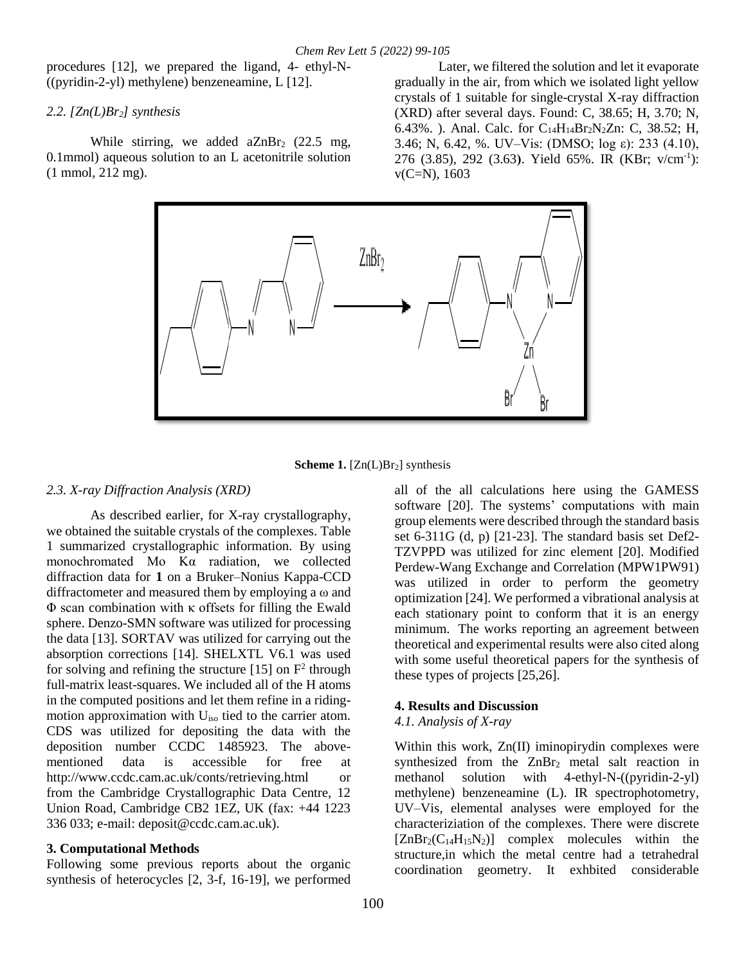procedures [12], we prepared the ligand, 4- ethyl-N-  $((pyridin-2-yl)$  methylene) benzeneamine, L  $[12]$ .

## *2.2. [Zn(L)Br2] synthesis*

While stirring, we added  $aZnBr<sub>2</sub>$  (22.5 mg, 0.1mmol) aqueous solution to an L acetonitrile solution (1 mmol, 212 mg).

Later, we filtered the solution and let it evaporate gradually in the air, from which we isolated light yellow crystals of 1 suitable for single-crystal X-ray diffraction (XRD) after several days. Found: C, 38.65; H, 3.70; N, 6.43%. ). Anal. Calc. for  $C_{14}H_{14}Br_2N_2Zn$ : C, 38.52; H, 3.46; N, 6.42, %. UV–Vis: (DMSO; log ε): 233 (4.10), 276 (3.85), 292 (3.63**(**. Yield 65%. IR (KBr; v/cm-1 ):  $v(C=N), 1603$ 



**Scheme 1.** [Zn(L)Br<sub>2</sub>] synthesis

## *2.3. X-ray Diffraction Analysis (XRD)*

As described earlier, for X-ray crystallography, we obtained the suitable crystals of the complexes. Table 1 summarized crystallographic information. By using monochromated Mo Kα radiation, we collected diffraction data for **1** on a Bruker–Nonius Kappa-CCD diffractometer and measured them by employing a ω and Φ scan combination with κ offsets for filling the Ewald sphere. Denzo-SMN software was utilized for processing the data [13]. SORTAV was utilized for carrying out the absorption corrections [14]. SHELXTL V6.1 was used for solving and refining the structure  $[15]$  on  $F<sup>2</sup>$  through full-matrix least-squares. We included all of the H atoms in the computed positions and let them refine in a ridingmotion approximation with Uiso tied to the carrier atom. CDS was utilized for depositing the data with the deposition number CCDC 1485923. The abovementioned data is accessible for free at http://www.ccdc.cam.ac.uk/conts/retrieving.html or from the Cambridge Crystallographic Data Centre, 12 Union Road, Cambridge CB2 1EZ, UK (fax: +44 1223 336 033; e-mail: [deposit@ccdc.cam.ac.uk\)](mailto:deposit@ccdc.cam.ac.uk).

# **3. Computational Methods**

Following some previous reports about the organic synthesis of heterocycles [2, 3-f, 16-19], we performed all of the all calculations here using the GAMESS software [20]. The systems' computations with main group elements were described through the standard basis set 6-311G (d, p) [21-23]. The standard basis set Def2- TZVPPD was utilized for zinc element [20]. Modified Perdew-Wang Exchange and Correlation (MPW1PW91) was utilized in order to perform the geometry optimization [24]. We performed a vibrational analysis at each stationary point to conform that it is an energy minimum. The works reporting an agreement between theoretical and experimental results were also cited along with some useful theoretical papers for the synthesis of these types of projects [25,26].

# **4. Results and Discussion**

## *4.1. Analysis of X-ray*

Within this work, Zn(II) iminopirydin complexes were synthesized from the  $ZnBr<sub>2</sub>$  metal salt reaction in methanol solution with 4-ethyl-N-((pyridin-2-yl) methylene) benzeneamine (L). IR spectrophotometry, UV–Vis, elemental analyses were employed for the characteriziation of the complexes. There were discrete  $[ZnBr_2(C_{14}H_{15}N_2)]$  complex molecules within the structure,in which the metal centre had a tetrahedral coordination geometry. It exhbited considerable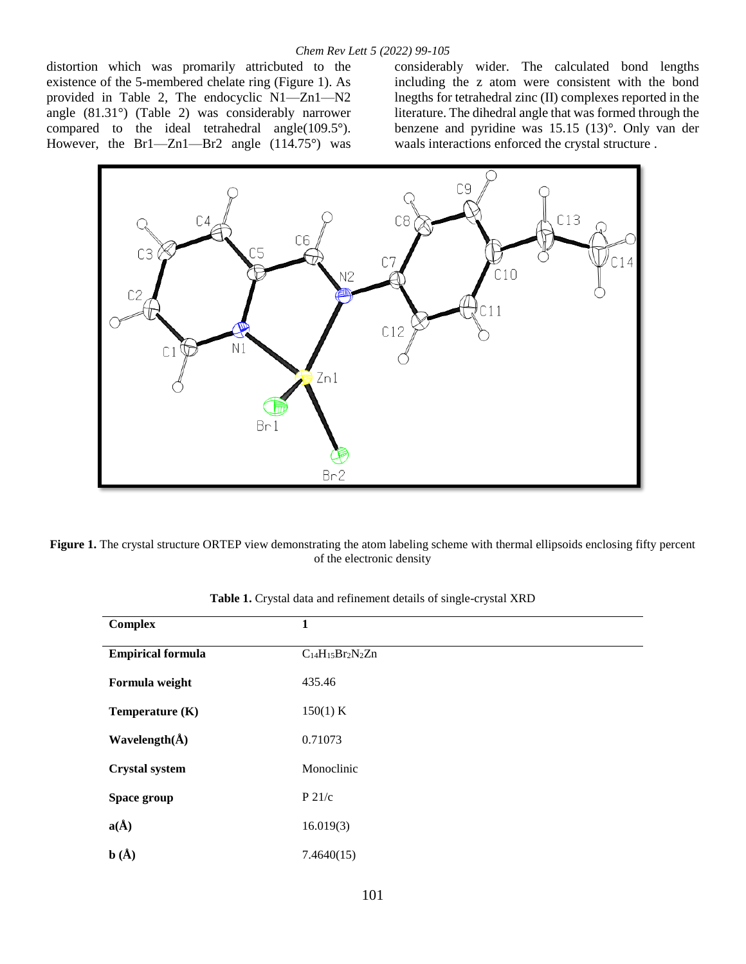distortion which was promarily attricbuted to the existence of the 5-membered chelate ring (Figure 1). As provided in Table 2, The endocyclic N1—Zn1—N2 angle (81.31°) (Table 2) was considerably narrower compared to the ideal tetrahedral angle(109.5°). However, the Br1—Zn1—Br2 angle (114.75°) was

considerably wider. The calculated bond lengths including the z atom were consistent with the bond lnegths for tetrahedral zinc (II) complexes reported in the literature. The dihedral angle that was formed through the benzene and pyridine was 15.15 (13)°. Only van der waals interactions enforced the crystal structure .



**Figure 1.** The crystal structure ORTEP view demonstrating the atom labeling scheme with thermal ellipsoids enclosing fifty percent of the electronic density

| <b>Complex</b>             | 1                       |
|----------------------------|-------------------------|
| <b>Empirical formula</b>   | $C_{14}H_{15}Br_2N_2Zn$ |
| Formula weight             | 435.46                  |
| Temperature (K)            | 150(1) K                |
| Wavelength $(\AA)$         | 0.71073                 |
| <b>Crystal system</b>      | Monoclinic              |
| Space group                | P 21/c                  |
| $a(\AA)$                   | 16.019(3)               |
| $\mathbf{b}(\mathbf{\AA})$ | 7.4640(15)              |

**Table 1.** Crystal data and refinement details of single-crystal XRD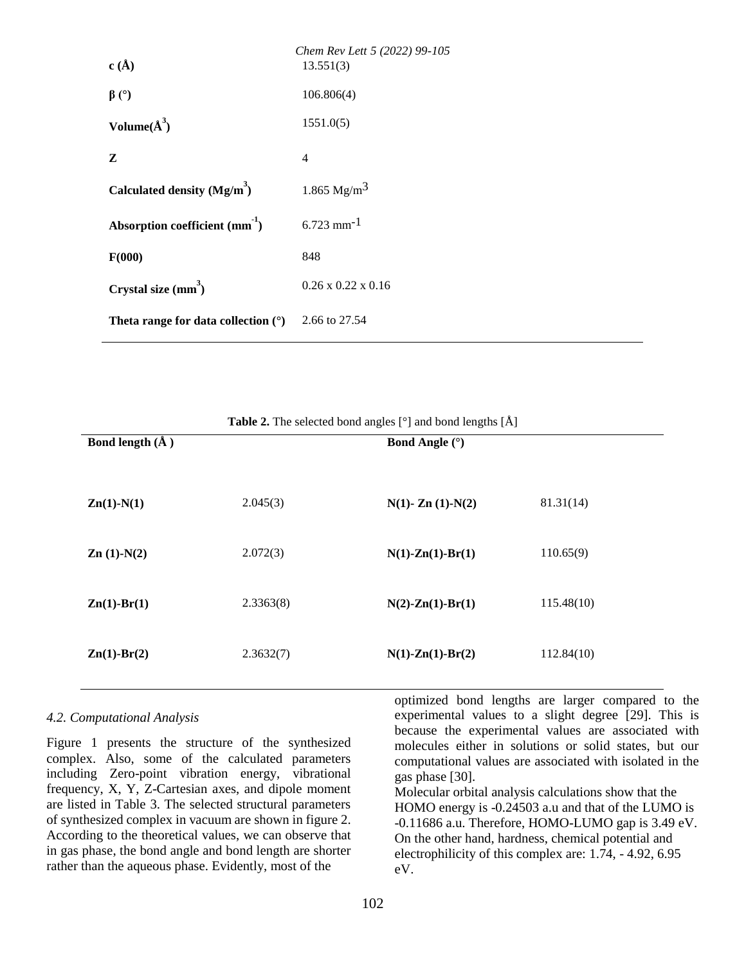| c(A)                                       | Chem Rev Lett 5 (2022) 99-105<br>13.551(3) |
|--------------------------------------------|--------------------------------------------|
| $\beta$ (°)                                | 106.806(4)                                 |
| Volume $(\AA^3)$                           | 1551.0(5)                                  |
| Z                                          | $\overline{4}$                             |
| Calculated density $(Mg/m^3)$              | 1.865 $Mg/m3$                              |
| Absorption coefficient (mm <sup>-1</sup> ) | $6.723$ mm <sup>-1</sup>                   |
| F(000)                                     | 848                                        |
| Crystal size $(mm^3)$                      | $0.26 \times 0.22 \times 0.16$             |
| Theta range for data collection $(°)$      | 2.66 to 27.54                              |

| Bond length $(\AA)$ |           | <b>Bond Angle (°)</b>      |            |
|---------------------|-----------|----------------------------|------------|
| $Zn(1)-N(1)$        | 2.045(3)  | $N(1)$ - Zn $(1)$ - $N(2)$ | 81.31(14)  |
| $Zn(1)-N(2)$        | 2.072(3)  | $N(1)$ -Zn(1)-Br(1)        | 110.65(9)  |
| $Zn(1)-Br(1)$       | 2.3363(8) | $N(2)$ -Zn(1)-Br(1)        | 115.48(10) |
| $Zn(1)-Br(2)$       | 2.3632(7) | $N(1)$ -Zn(1)-Br(2)        | 112.84(10) |

**Table 2.** The selected bond angles [°] and bond lengths [Å]

#### *4.2. Computational Analysis*

Figure 1 presents the structure of the synthesized complex. Also, some of the calculated parameters including Zero-point vibration energy, vibrational frequency, X, Y, Z-Cartesian axes, and dipole moment are listed in Table 3. The selected structural parameters of synthesized complex in vacuum are shown in figure 2. According to the theoretical values, we can observe that in gas phase, the bond angle and bond length are shorter rather than the aqueous phase. Evidently, most of the

optimized bond lengths are larger compared to the experimental values to a slight degree [29]. This is because the experimental values are associated with molecules either in solutions or solid states, but our computational values are associated with isolated in the gas phase [30].

Molecular orbital analysis calculations show that the HOMO energy is -0.24503 a.u and that of the LUMO is -0.11686 a.u. Therefore, HOMO-LUMO gap is 3.49 eV. On the other hand, hardness, chemical potential and electrophilicity of this complex are: 1.74, - 4.92, 6.95 eV.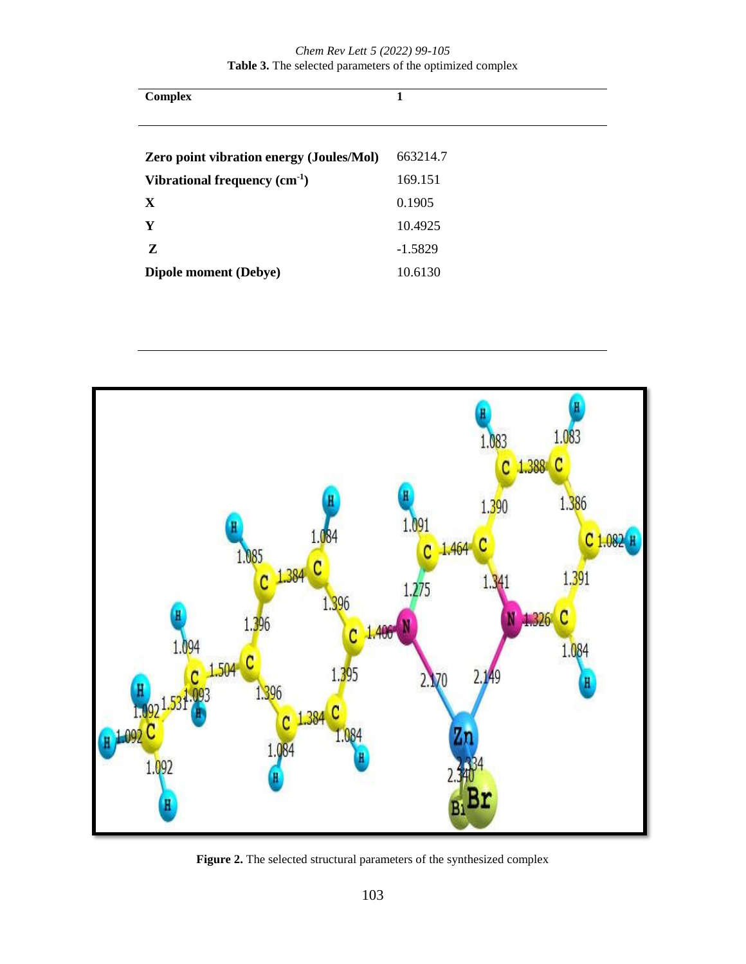| <b>Complex</b>                                  | 1         |
|-------------------------------------------------|-----------|
|                                                 |           |
| <b>Zero point vibration energy (Joules/Mol)</b> | 663214.7  |
| Vibrational frequency $(cm-1)$                  | 169.151   |
| X                                               | 0.1905    |
| Y                                               | 10.4925   |
| Z                                               | $-1.5829$ |
| Dipole moment (Debye)                           | 10.6130   |



**Figure 2.** The selected structural parameters of the synthesized complex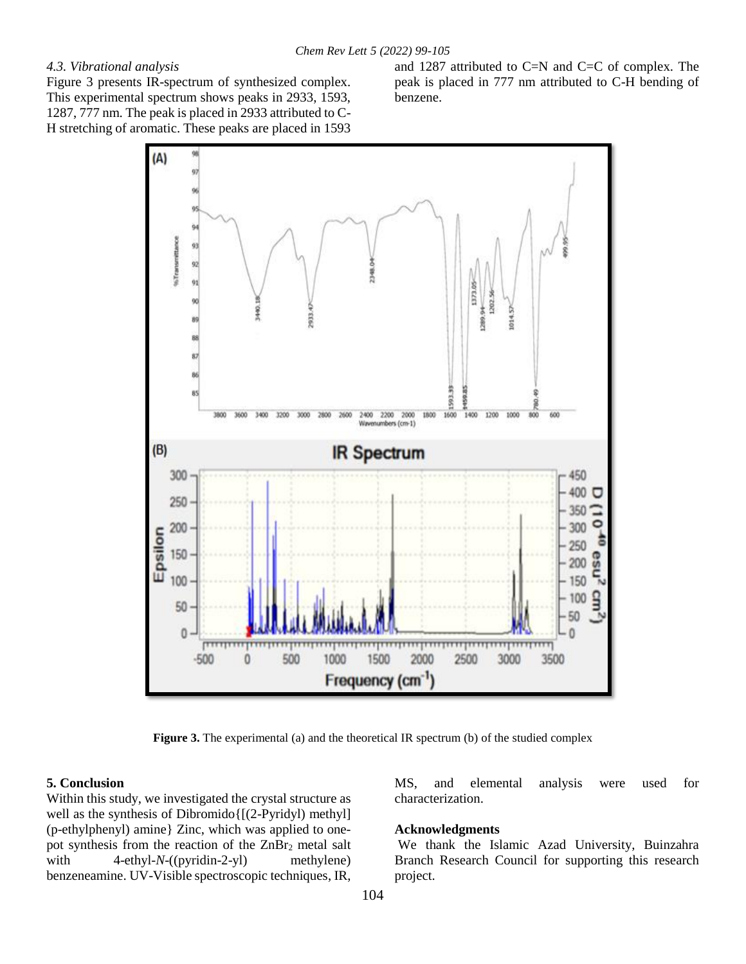## *4.3. Vibrational analysis*

Figure 3 presents IR-spectrum of synthesized complex. This experimental spectrum shows peaks in 2933, 1593, 1287, 777 nm. The peak is placed in 2933 attributed to C-H stretching of aromatic. These peaks are placed in 1593

and 1287 attributed to C=N and C=C of complex. The peak is placed in 777 nm attributed to C-H bending of benzene.



**Figure 3.** The experimental (a) and the theoretical IR spectrum (b) of the studied complex

#### **5. Conclusion**

Within this study, we investigated the crystal structure as well as the synthesis of Dibromido{[(2-Pyridyl) methyl] (p-ethylphenyl) amine} Zinc, which was applied to onepot synthesis from the reaction of the  $ZnBr<sub>2</sub>$  metal salt with 4-ethyl-*N*-((pyridin-2-yl) methylene) benzeneamine. UV-Visible spectroscopic techniques, IR,

MS, and elemental analysis were used for characterization.

#### **Acknowledgments**

We thank the Islamic Azad University, Buinzahra Branch Research Council for supporting this research project.